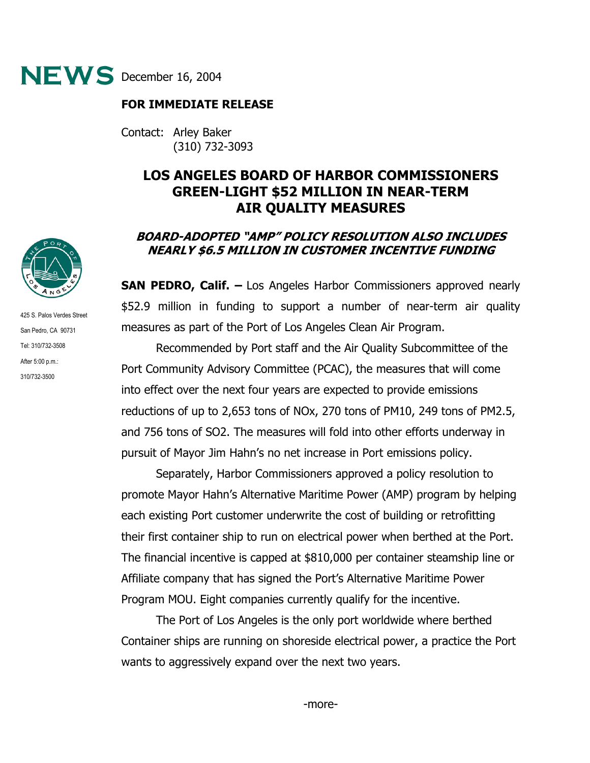

## **FOR IMMEDIATE RELEASE**

Contact: Arley Baker (310) 732-3093

## **LOS ANGELES BOARD OF HARBOR COMMISSIONERS GREEN-LIGHT \$52 MILLION IN NEAR-TERM AIR QUALITY MEASURES**

## **BOARD-ADOPTED "AMP" POLICY RESOLUTION ALSO INCLUDES NEARLY \$6.5 MILLION IN CUSTOMER INCENTIVE FUNDING**

**SAN PEDRO, Calif. –** Los Angeles Harbor Commissioners approved nearly \$52.9 million in funding to support a number of near-term air quality measures as part of the Port of Los Angeles Clean Air Program.

 Recommended by Port staff and the Air Quality Subcommittee of the Port Community Advisory Committee (PCAC), the measures that will come into effect over the next four years are expected to provide emissions reductions of up to 2,653 tons of NOx, 270 tons of PM10, 249 tons of PM2.5, and 756 tons of SO2. The measures will fold into other efforts underway in pursuit of Mayor Jim Hahn's no net increase in Port emissions policy.

 Separately, Harbor Commissioners approved a policy resolution to promote Mayor Hahn's Alternative Maritime Power (AMP) program by helping each existing Port customer underwrite the cost of building or retrofitting their first container ship to run on electrical power when berthed at the Port. The financial incentive is capped at \$810,000 per container steamship line or Affiliate company that has signed the Port's Alternative Maritime Power Program MOU. Eight companies currently qualify for the incentive.

 The Port of Los Angeles is the only port worldwide where berthed Container ships are running on shoreside electrical power, a practice the Port wants to aggressively expand over the next two years.



425 S. Palos Verdes Street San Pedro, CA 90731 Tel: 310/732-3508 After 5:00 p.m.: 310/732-3500